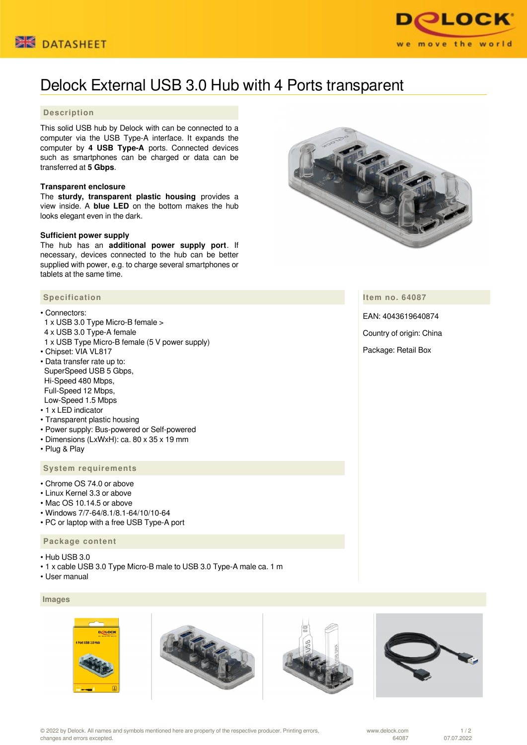



# Delock External USB 3.0 Hub with 4 Ports transparent

# **Description**

This solid USB hub by Delock with can be connected to a computer via the USB Type-A interface. It expands the computer by **4 USB Type-A** ports. Connected devices such as smartphones can be charged or data can be transferred at **5 Gbps**.

#### **Transparent enclosure**

The **sturdy, transparent plastic housing** provides a view inside. A **blue LED** on the bottom makes the hub looks elegant even in the dark.

#### **Sufficient power supply**

The hub has an **additional power supply port**. If necessary, devices connected to the hub can be better supplied with power, e.g. to charge several smartphones or tablets at the same time.

#### **Specification**

- Connectors:
- 1 x USB 3.0 Type Micro-B female >
- 4 x USB 3.0 Type-A female
- 1 x USB Type Micro-B female (5 V power supply) • Chipset: VIA VL817
- Data transfer rate up to: SuperSpeed USB 5 Gbps, Hi-Speed 480 Mbps, Full-Speed 12 Mbps, Low-Speed 1.5 Mbps
- 1 x LED indicator
- Transparent plastic housing
- Power supply: Bus-powered or Self-powered
- Dimensions (LxWxH): ca. 80 x 35 x 19 mm
- Plug & Play

## **System requirements**

- Chrome OS 74.0 or above
- Linux Kernel 3.3 or above
- Mac OS 10.14.5 or above
- Windows 7/7-64/8.1/8.1-64/10/10-64
- PC or laptop with a free USB Type-A port

# **Package content**

- Hub USB 3.0
- 1 x cable USB 3.0 Type Micro-B male to USB 3.0 Type-A male ca. 1 m
- User manual

## **Images**









**Item no. 64087**

EAN: 4043619640874

Country of origin: China

Package: Retail Box